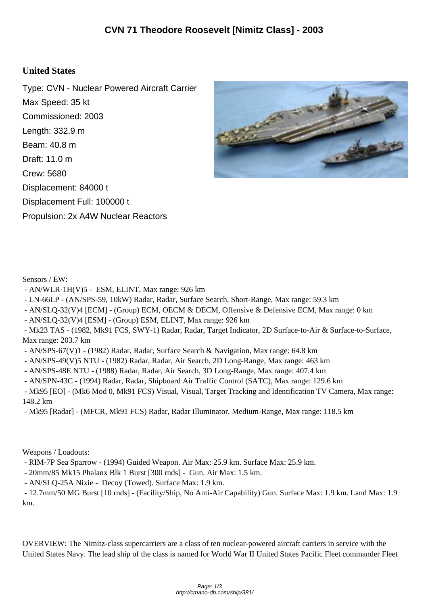## **United States**

Type: CVN - Nuclear Powered Aircraft Carrier Max Speed: 35 kt Commissioned: 2003 Length: 332.9 m Beam: 40.8 m Draft: 11.0 m Crew: 5680 Displacement: 84000 t Displacement Full: 100000 t Propulsion: 2x A4W Nuclear Reactors



Sensors / EW:

- AN/WLR-1H(V)5 ESM, ELINT, Max range: 926 km
- LN-66LP (AN/SPS-59, 10kW) Radar, Radar, Surface Search, Short-Range, Max range: 59.3 km
- AN/SLQ-32(V)4 [ECM] (Group) ECM, OECM & DECM, Offensive & Defensive ECM, Max range: 0 km
- AN/SLQ-32(V)4 [ESM] (Group) ESM, ELINT, Max range: 926 km
- Mk23 TAS (1982, Mk91 FCS, SWY-1) Radar, Radar, Target Indicator, 2D Surface-to-Air & Surface-to-Surface, Max range: 203.7 km
- AN/SPS-67(V)1 (1982) Radar, Radar, Surface Search & Navigation, Max range: 64.8 km
- AN/SPS-49(V)5 NTU (1982) Radar, Radar, Air Search, 2D Long-Range, Max range: 463 km
- AN/SPS-48E NTU (1988) Radar, Radar, Air Search, 3D Long-Range, Max range: 407.4 km
- AN/SPN-43C (1994) Radar, Radar, Shipboard Air Traffic Control (SATC), Max range: 129.6 km

 - Mk95 [EO] - (Mk6 Mod 0, Mk91 FCS) Visual, Visual, Target Tracking and Identification TV Camera, Max range: 148.2 km

- Mk95 [Radar] - (MFCR, Mk91 FCS) Radar, Radar Illuminator, Medium-Range, Max range: 118.5 km

Weapons / Loadouts:

- RIM-7P Sea Sparrow - (1994) Guided Weapon. Air Max: 25.9 km. Surface Max: 25.9 km.

- 20mm/85 Mk15 Phalanx Blk 1 Burst [300 rnds] Gun. Air Max: 1.5 km.
- AN/SLQ-25A Nixie Decoy (Towed). Surface Max: 1.9 km.

 - 12.7mm/50 MG Burst [10 rnds] - (Facility/Ship, No Anti-Air Capability) Gun. Surface Max: 1.9 km. Land Max: 1.9 km.

OVERVIEW: The Nimitz-class supercarriers are a class of ten nuclear-powered aircraft carriers in service with the United States Navy. The lead ship of the class is named for World War II United States Pacific Fleet commander Fleet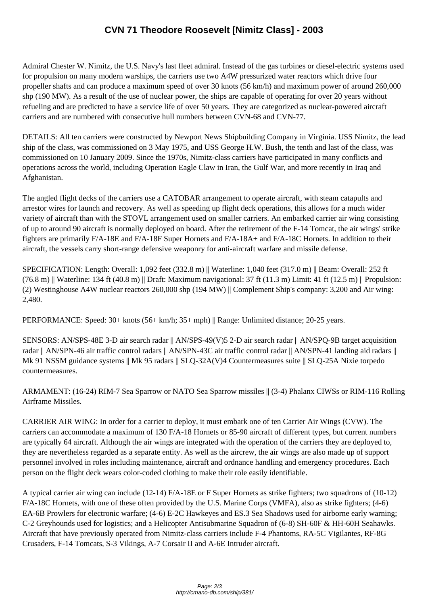Admiral Chester W. Nimi[tz, the U.S. Navy's last fleet admiral. Instead of the gas turbines or die](http://cmano-db.com/ship/381/)sel-electric systems used for propulsion on many modern warships, the carriers use two A4W pressurized water reactors which drive four propeller shafts and can produce a maximum speed of over 30 knots (56 km/h) and maximum power of around 260,000 shp (190 MW). As a result of the use of nuclear power, the ships are capable of operating for over 20 years without refueling and are predicted to have a service life of over 50 years. They are categorized as nuclear-powered aircraft carriers and are numbered with consecutive hull numbers between CVN-68 and CVN-77.

DETAILS: All ten carriers were constructed by Newport News Shipbuilding Company in Virginia. USS Nimitz, the lead ship of the class, was commissioned on 3 May 1975, and USS George H.W. Bush, the tenth and last of the class, was commissioned on 10 January 2009. Since the 1970s, Nimitz-class carriers have participated in many conflicts and operations across the world, including Operation Eagle Claw in Iran, the Gulf War, and more recently in Iraq and Afghanistan.

The angled flight decks of the carriers use a CATOBAR arrangement to operate aircraft, with steam catapults and arrestor wires for launch and recovery. As well as speeding up flight deck operations, this allows for a much wider variety of aircraft than with the STOVL arrangement used on smaller carriers. An embarked carrier air wing consisting of up to around 90 aircraft is normally deployed on board. After the retirement of the F-14 Tomcat, the air wings' strike fighters are primarily F/A-18E and F/A-18F Super Hornets and F/A-18A+ and F/A-18C Hornets. In addition to their aircraft, the vessels carry short-range defensive weaponry for anti-aircraft warfare and missile defense.

SPECIFICATION: Length: Overall: 1,092 feet (332.8 m) || Waterline: 1,040 feet (317.0 m) || Beam: Overall: 252 ft  $(76.8 \text{ m})$  Waterline: 134 ft (40.8 m) || Draft: Maximum navigational: 37 ft (11.3 m) Limit: 41 ft (12.5 m) || Propulsion: (2) Westinghouse A4W nuclear reactors 260,000 shp (194 MW) || Complement Ship's company: 3,200 and Air wing: 2,480.

PERFORMANCE: Speed: 30+ knots (56+ km/h; 35+ mph) || Range: Unlimited distance; 20-25 years.

SENSORS: AN/SPS-48E 3-D air search radar || AN/SPS-49(V)5 2-D air search radar || AN/SPQ-9B target acquisition radar || AN/SPN-46 air traffic control radars || AN/SPN-43C air traffic control radar || AN/SPN-41 landing aid radars || Mk 91 NSSM guidance systems || Mk 95 radars || SLQ-32A(V)4 Countermeasures suite || SLQ-25A Nixie torpedo countermeasures.

ARMAMENT: (16-24) RIM-7 Sea Sparrow or NATO Sea Sparrow missiles || (3-4) Phalanx CIWSs or RIM-116 Rolling Airframe Missiles.

CARRIER AIR WING: In order for a carrier to deploy, it must embark one of ten Carrier Air Wings (CVW). The carriers can accommodate a maximum of 130 F/A-18 Hornets or 85-90 aircraft of different types, but current numbers are typically 64 aircraft. Although the air wings are integrated with the operation of the carriers they are deployed to, they are nevertheless regarded as a separate entity. As well as the aircrew, the air wings are also made up of support personnel involved in roles including maintenance, aircraft and ordnance handling and emergency procedures. Each person on the flight deck wears color-coded clothing to make their role easily identifiable.

A typical carrier air wing can include (12-14) F/A-18E or F Super Hornets as strike fighters; two squadrons of (10-12) F/A-18C Hornets, with one of these often provided by the U.S. Marine Corps (VMFA), also as strike fighters; (4-6) EA-6B Prowlers for electronic warfare; (4-6) E-2C Hawkeyes and ES.3 Sea Shadows used for airborne early warning; C-2 Greyhounds used for logistics; and a Helicopter Antisubmarine Squadron of (6-8) SH-60F & HH-60H Seahawks. Aircraft that have previously operated from Nimitz-class carriers include F-4 Phantoms, RA-5C Vigilantes, RF-8G Crusaders, F-14 Tomcats, S-3 Vikings, A-7 Corsair II and A-6E Intruder aircraft.